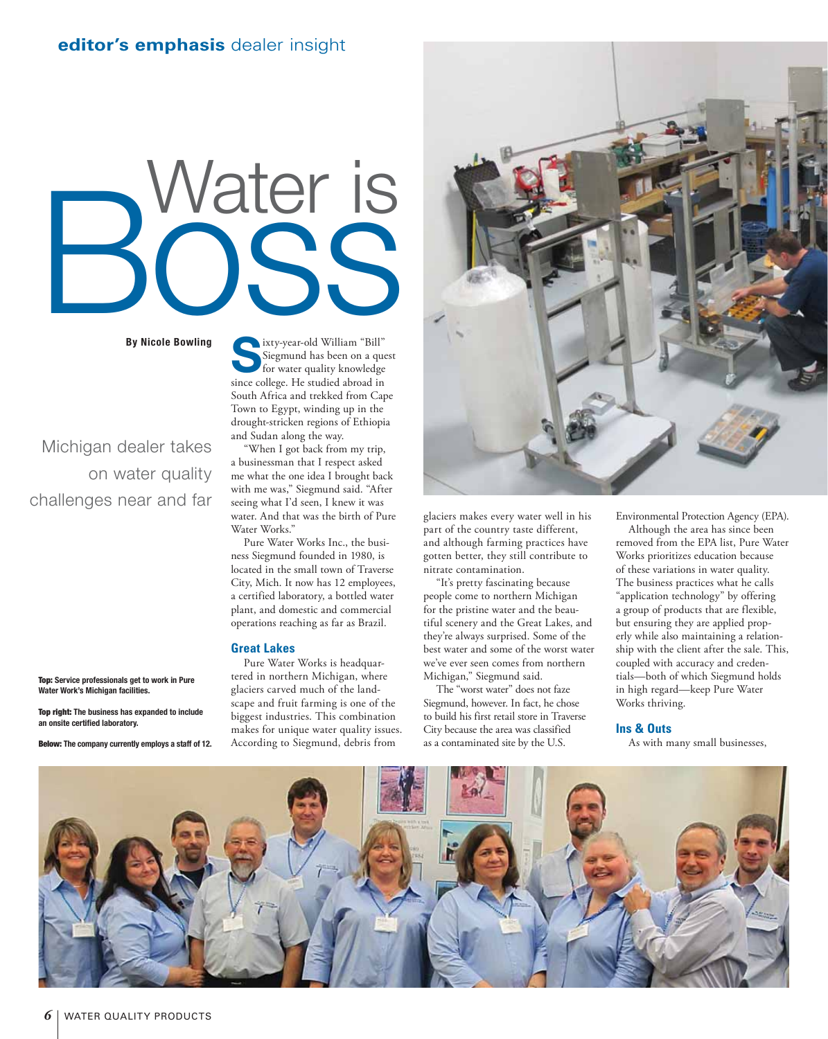# Water is

**By Nicole Bowling**

Michigan dealer takes on water quality challenges near and far

**Top: Service professionals get to work in Pure Water Work's Michigan facilities.**

**Top right: The business has expanded to include**  an onsite certified laboratory.

**Below: The company currently employs a staff of 12.**



"When I got back from my trip, a businessman that I respect asked me what the one idea I brought back with me was," Siegmund said. "After seeing what I'd seen, I knew it was water. And that was the birth of Pure Water Works."

Pure Water Works Inc., the business Siegmund founded in 1980, is located in the small town of Traverse City, Mich. It now has 12 employees, a certified laboratory, a bottled water plant, and domestic and commercial operations reaching as far as Brazil.

### **Great Lakes**

Pure Water Works is headquartered in northern Michigan, where glaciers carved much of the landscape and fruit farming is one of the biggest industries. This combination makes for unique water quality issues. According to Siegmund, debris from



glaciers makes every water well in his part of the country taste different, and although farming practices have gotten better, they still contribute to nitrate contamination.

"It's pretty fascinating because people come to northern Michigan for the pristine water and the beautiful scenery and the Great Lakes, and they're always surprised. Some of the best water and some of the worst water we've ever seen comes from northern Michigan," Siegmund said.

The "worst water" does not faze Siegmund, however. In fact, he chose to build his first retail store in Traverse City because the area was classified as a contaminated site by the U.S.

Environmental Protection Agency (EPA).

Although the area has since been removed from the EPA list, Pure Water Works prioritizes education because of these variations in water quality. The business practices what he calls "application technology" by offering a group of products that are flexible, but ensuring they are applied properly while also maintaining a relationship with the client after the sale. This, coupled with accuracy and credentials—both of which Siegmund holds in high regard—keep Pure Water Works thriving.

## **Ins & Outs**

As with many small businesses,